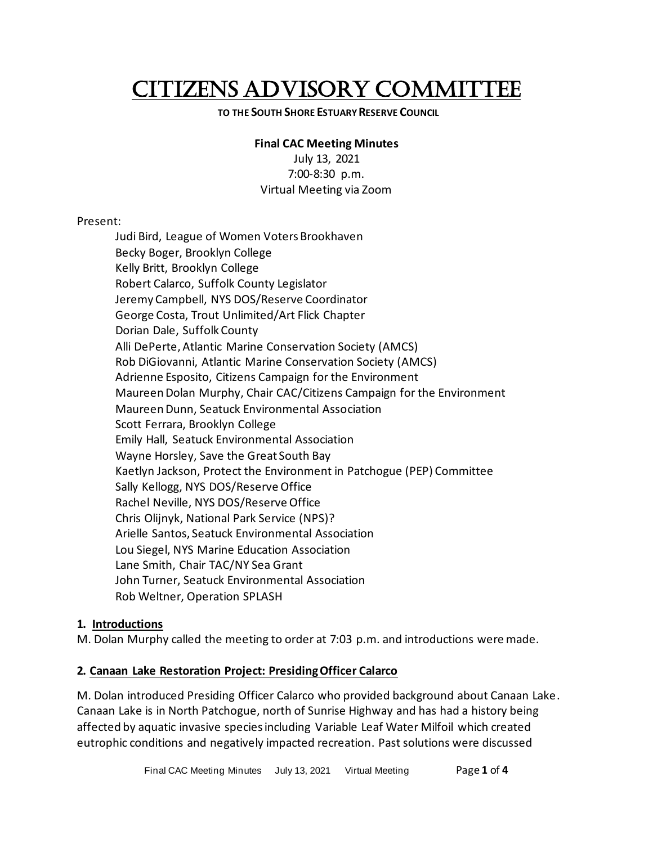# CITIZENS ADVISORY COMMITTEE

#### **TO THE SOUTH SHORE ESTUARY RESERVE COUNCIL**

### **Final CAC Meeting Minutes**

July 13, 2021 7:00-8:30 p.m. Virtual Meeting via Zoom

#### Present:

Judi Bird, League of Women Voters Brookhaven Becky Boger, Brooklyn College Kelly Britt, Brooklyn College Robert Calarco, Suffolk County Legislator Jeremy Campbell, NYS DOS/Reserve Coordinator George Costa, Trout Unlimited/Art Flick Chapter Dorian Dale, Suffolk County Alli DePerte, Atlantic Marine Conservation Society (AMCS) Rob DiGiovanni, Atlantic Marine Conservation Society (AMCS) Adrienne Esposito, Citizens Campaign for the Environment Maureen Dolan Murphy, Chair CAC/Citizens Campaign for the Environment Maureen Dunn, Seatuck Environmental Association Scott Ferrara, Brooklyn College Emily Hall, Seatuck Environmental Association Wayne Horsley, Save the Great South Bay Kaetlyn Jackson, Protect the Environment in Patchogue (PEP) Committee Sally Kellogg, NYS DOS/Reserve Office Rachel Neville, NYS DOS/Reserve Office Chris Olijnyk, National Park Service (NPS)? Arielle Santos, Seatuck Environmental Association Lou Siegel, NYS Marine Education Association Lane Smith, Chair TAC/NY Sea Grant John Turner, Seatuck Environmental Association Rob Weltner, Operation SPLASH

#### **1. Introductions**

M. Dolan Murphy called the meeting to order at 7:03 p.m. and introductions were made.

## **2. Canaan Lake Restoration Project: Presiding Officer Calarco**

M. Dolan introduced Presiding Officer Calarco who provided background about Canaan Lake. Canaan Lake is in North Patchogue, north of Sunrise Highway and has had a history being affected by aquatic invasive species including Variable Leaf Water Milfoil which created eutrophic conditions and negatively impacted recreation. Past solutions were discussed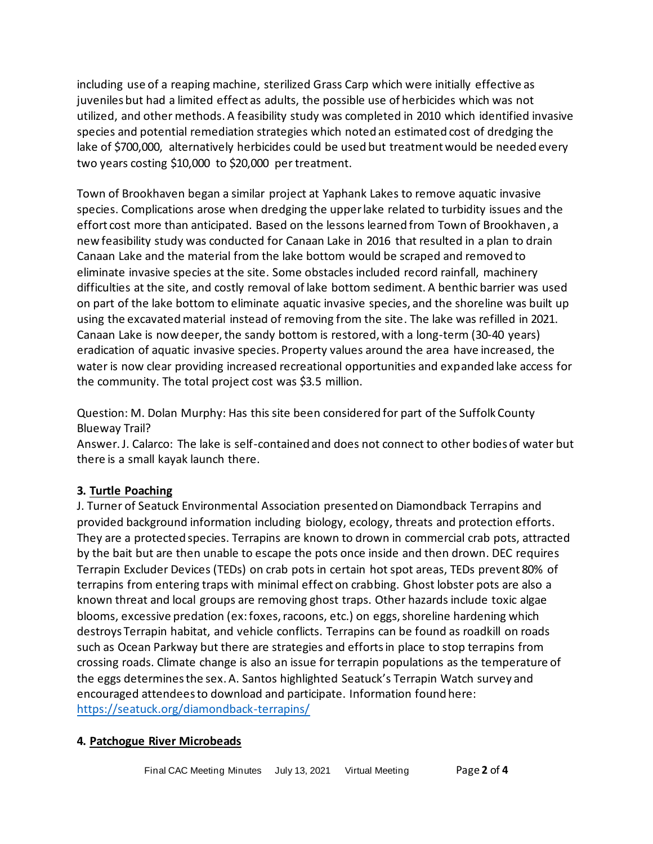including use of a reaping machine, sterilized Grass Carp which were initially effective as juveniles but had a limited effect as adults, the possible use of herbicides which was not utilized, and other methods. A feasibility study was completed in 2010 which identified invasive species and potential remediation strategies which noted an estimated cost of dredging the lake of \$700,000, alternatively herbicides could be used but treatment would be needed every two years costing \$10,000 to \$20,000 per treatment.

Town of Brookhaven began a similar project at Yaphank Lakes to remove aquatic invasive species. Complications arose when dredging the upper lake related to turbidity issues and the effort cost more than anticipated. Based on the lessons learned from Town of Brookhaven, a new feasibility study was conducted for Canaan Lake in 2016 that resulted in a plan to drain Canaan Lake and the material from the lake bottom would be scraped and removed to eliminate invasive species at the site. Some obstacles included record rainfall, machinery difficulties at the site, and costly removal of lake bottom sediment. A benthic barrier was used on part of the lake bottom to eliminate aquatic invasive species, and the shoreline was built up using the excavated material instead of removing from the site. The lake was refilled in 2021. Canaan Lake is now deeper, the sandy bottom is restored, with a long-term (30-40 years) eradication of aquatic invasive species. Property values around the area have increased, the water is now clear providing increased recreational opportunities and expanded lake access for the community. The total project cost was \$3.5 million.

Question: M. Dolan Murphy: Has this site been considered for part of the Suffolk County Blueway Trail?

Answer. J. Calarco: The lake is self-contained and does not connect to other bodies of water but there is a small kayak launch there.

## **3. Turtle Poaching**

J. Turner of Seatuck Environmental Association presented on Diamondback Terrapins and provided background information including biology, ecology, threats and protection efforts. They are a protected species. Terrapins are known to drown in commercial crab pots, attracted by the bait but are then unable to escape the pots once inside and then drown. DEC requires Terrapin Excluder Devices (TEDs) on crab pots in certain hot spot areas, TEDs prevent 80% of terrapins from entering traps with minimal effect on crabbing. Ghost lobster pots are also a known threat and local groups are removing ghost traps. Other hazards include toxic algae blooms, excessive predation (ex: foxes, racoons, etc.) on eggs, shoreline hardening which destroys Terrapin habitat, and vehicle conflicts. Terrapins can be found as roadkill on roads such as Ocean Parkway but there are strategies and efforts in place to stop terrapins from crossing roads. Climate change is also an issue for terrapin populations as the temperature of the eggs determines the sex. A. Santos highlighted Seatuck's Terrapin Watch survey and encouraged attendees to download and participate. Information found here: <https://seatuck.org/diamondback-terrapins/>

#### **4. Patchogue River Microbeads**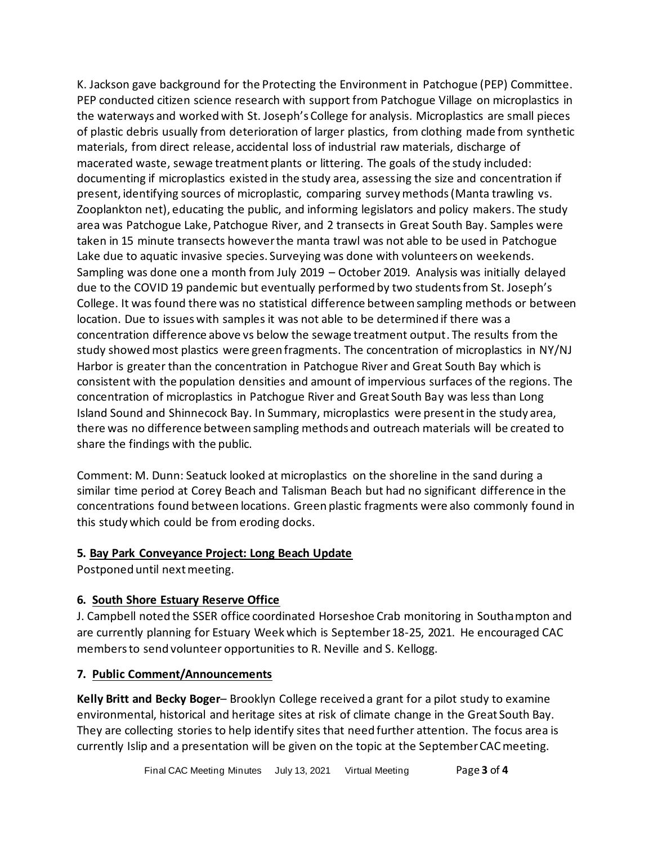K. Jackson gave background for the Protecting the Environment in Patchogue (PEP) Committee. PEP conducted citizen science research with support from Patchogue Village on microplastics in the waterways and worked with St. Joseph's College for analysis. Microplastics are small pieces of plastic debris usually from deterioration of larger plastics, from clothing made from synthetic materials, from direct release, accidental loss of industrial raw materials, discharge of macerated waste, sewage treatment plants or littering. The goals of the study included: documenting if microplastics existed in the study area, assessing the size and concentration if present, identifying sources of microplastic, comparing survey methods (Manta trawling vs. Zooplankton net), educating the public, and informing legislators and policy makers. The study area was Patchogue Lake, Patchogue River, and 2 transects in Great South Bay. Samples were taken in 15 minute transects however the manta trawl was not able to be used in Patchogue Lake due to aquatic invasive species. Surveying was done with volunteers on weekends. Sampling was done one a month from July 2019 – October 2019. Analysis was initially delayed due to the COVID 19 pandemic but eventually performed by two students from St. Joseph's College. It was found there was no statistical difference between sampling methods or between location. Due to issues with samples it was not able to be determined if there was a concentration difference above vs below the sewage treatment output. The results from the study showed most plastics were green fragments. The concentration of microplastics in NY/NJ Harbor is greater than the concentration in Patchogue River and Great South Bay which is consistent with the population densities and amount of impervious surfaces of the regions. The concentration of microplastics in Patchogue River and Great South Bay was less than Long Island Sound and Shinnecock Bay. In Summary, microplastics were present in the study area, there was no difference between sampling methods and outreach materials will be created to share the findings with the public.

Comment: M. Dunn: Seatuck looked at microplastics on the shoreline in the sand during a similar time period at Corey Beach and Talisman Beach but had no significant difference in the concentrations found between locations. Green plastic fragments were also commonly found in this study which could be from eroding docks.

## **5. Bay Park Conveyance Project: Long Beach Update**

Postponed until next meeting.

## **6. South Shore Estuary Reserve Office**

J. Campbell noted the SSER office coordinated Horseshoe Crab monitoring in Southampton and are currently planning for Estuary Week which is September 18-25, 2021. He encouraged CAC members to send volunteer opportunities to R. Neville and S. Kellogg.

## **7. Public Comment/Announcements**

**Kelly Britt and Becky Boger**– Brooklyn College received a grant for a pilot study to examine environmental, historical and heritage sites at risk of climate change in the Great South Bay. They are collecting stories to help identify sites that need further attention. The focus area is currently Islip and a presentation will be given on the topic at the September CAC meeting.